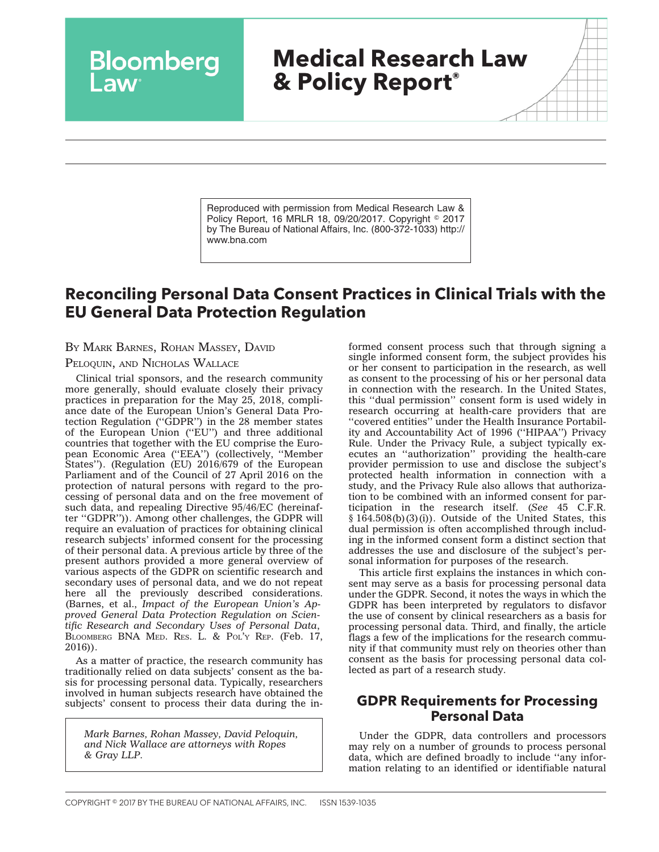# **Medical Research Law & Policy Report®**

Reproduced with permission from Medical Research Law & Policy Report, 16 MRLR 18, 09/20/2017. Copyright © 2017 by The Bureau of National Affairs, Inc. (800-372-1033) http:// www.bna.com

## **Reconciling Personal Data Consent Practices in Clinical Trials with the EU General Data Protection Regulation**

BY MARK BARNES, ROHAN MASSEY, DAVID

#### PELOQUIN, AND NICHOLAS WALLACE

Bloomberg

Clinical trial sponsors, and the research community more generally, should evaluate closely their privacy practices in preparation for the May 25, 2018, compliance date of the European Union's General Data Protection Regulation (''GDPR'') in the 28 member states of the European Union ("EU") and three additional countries that together with the EU comprise the European Economic Area (''EEA'') (collectively, ''Member States''). (Regulation (EU) 2016/679 of the European Parliament and of the Council of 27 April 2016 on the protection of natural persons with regard to the processing of personal data and on the free movement of such data, and repealing Directive 95/46/EC (hereinafter ''GDPR'')). Among other challenges, the GDPR will require an evaluation of practices for obtaining clinical research subjects' informed consent for the processing of their personal data. A previous article by three of the present authors provided a more general overview of various aspects of the GDPR on scientific research and secondary uses of personal data, and we do not repeat here all the previously described considerations. (Barnes, et al., *Impact of the European Union's Approved General Data Protection Regulation on Scientific Research and Secondary Uses of Personal Data*, BLOOMBERG BNA MED. RES. L. & POL'Y REP. (Feb. 17, 2016)).

As a matter of practice, the research community has traditionally relied on data subjects' consent as the basis for processing personal data. Typically, researchers involved in human subjects research have obtained the subjects' consent to process their data during the in-

*Mark Barnes, Rohan Massey, David Peloquin, and Nick Wallace are attorneys with Ropes & Gray LLP.*

formed consent process such that through signing a single informed consent form, the subject provides his or her consent to participation in the research, as well as consent to the processing of his or her personal data in connection with the research. In the United States, this ''dual permission'' consent form is used widely in research occurring at health-care providers that are ''covered entities'' under the Health Insurance Portability and Accountability Act of 1996 (''HIPAA'') Privacy Rule. Under the Privacy Rule, a subject typically executes an ''authorization'' providing the health-care provider permission to use and disclose the subject's protected health information in connection with a study, and the Privacy Rule also allows that authorization to be combined with an informed consent for participation in the research itself. (*See* 45 C.F.R.  $§$  164.508(b)(3)(i)). Outside of the United States, this dual permission is often accomplished through including in the informed consent form a distinct section that addresses the use and disclosure of the subject's personal information for purposes of the research.

This article first explains the instances in which consent may serve as a basis for processing personal data under the GDPR. Second, it notes the ways in which the GDPR has been interpreted by regulators to disfavor the use of consent by clinical researchers as a basis for processing personal data. Third, and finally, the article flags a few of the implications for the research community if that community must rely on theories other than consent as the basis for processing personal data collected as part of a research study.

#### **GDPR Requirements for Processing Personal Data**

Under the GDPR, data controllers and processors may rely on a number of grounds to process personal data, which are defined broadly to include ''any information relating to an identified or identifiable natural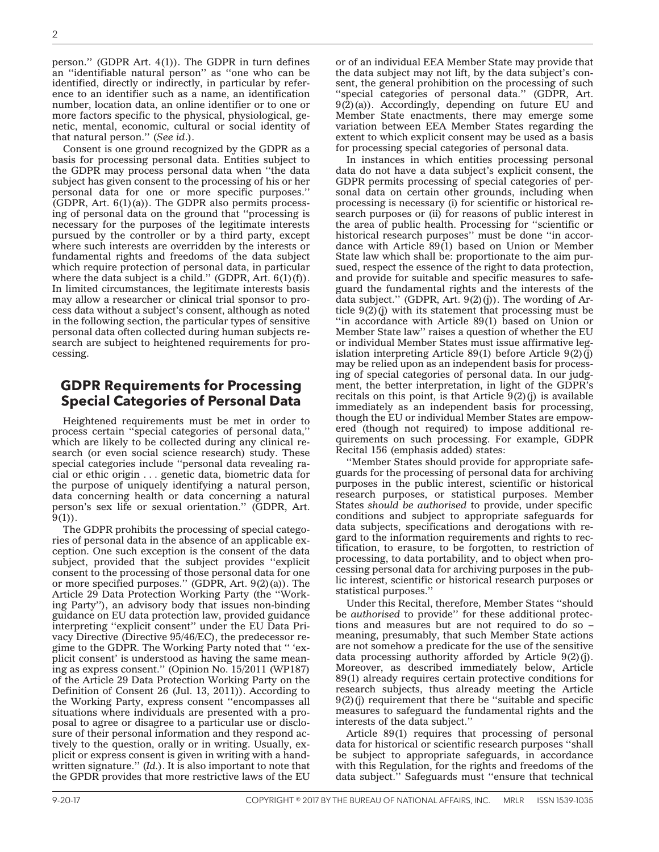person.'' (GDPR Art. 4(1)). The GDPR in turn defines an ''identifiable natural person'' as ''one who can be identified, directly or indirectly, in particular by reference to an identifier such as a name, an identification number, location data, an online identifier or to one or more factors specific to the physical, physiological, genetic, mental, economic, cultural or social identity of that natural person.'' (*See id*.).

Consent is one ground recognized by the GDPR as a basis for processing personal data. Entities subject to the GDPR may process personal data when ''the data subject has given consent to the processing of his or her personal data for one or more specific purposes.'' (GDPR, Art.  $6(1)(a)$ ). The GDPR also permits processing of personal data on the ground that ''processing is necessary for the purposes of the legitimate interests pursued by the controller or by a third party, except where such interests are overridden by the interests or fundamental rights and freedoms of the data subject which require protection of personal data, in particular where the data subject is a child." (GDPR, Art.  $6(1)(f)$ ). In limited circumstances, the legitimate interests basis may allow a researcher or clinical trial sponsor to process data without a subject's consent, although as noted in the following section, the particular types of sensitive personal data often collected during human subjects research are subject to heightened requirements for processing.

#### **GDPR Requirements for Processing Special Categories of Personal Data**

Heightened requirements must be met in order to process certain ''special categories of personal data,'' which are likely to be collected during any clinical research (or even social science research) study. These special categories include ''personal data revealing racial or ethic origin . . . genetic data, biometric data for the purpose of uniquely identifying a natural person, data concerning health or data concerning a natural person's sex life or sexual orientation.'' (GDPR, Art.  $9(1)$ ).

The GDPR prohibits the processing of special categories of personal data in the absence of an applicable exception. One such exception is the consent of the data subject, provided that the subject provides ''explicit consent to the processing of those personal data for one or more specified purposes.'' (GDPR, Art. 9(2)(a)). The Article 29 Data Protection Working Party (the ''Working Party''), an advisory body that issues non-binding guidance on EU data protection law, provided guidance interpreting ''explicit consent'' under the EU Data Privacy Directive (Directive 95/46/EC), the predecessor regime to the GDPR. The Working Party noted that '' 'explicit consent' is understood as having the same meaning as express consent.'' (Opinion No. 15/2011 (WP187) of the Article 29 Data Protection Working Party on the Definition of Consent 26 (Jul. 13, 2011)). According to the Working Party, express consent ''encompasses all situations where individuals are presented with a proposal to agree or disagree to a particular use or disclosure of their personal information and they respond actively to the question, orally or in writing. Usually, explicit or express consent is given in writing with a handwritten signature.'' (*Id.*). It is also important to note that the GPDR provides that more restrictive laws of the EU

or of an individual EEA Member State may provide that the data subject may not lift, by the data subject's consent, the general prohibition on the processing of such "special categories of personal data." (GDPR, Art.  $9(2)(a)$ . Accordingly, depending on future EU and Member State enactments, there may emerge some variation between EEA Member States regarding the extent to which explicit consent may be used as a basis for processing special categories of personal data.

In instances in which entities processing personal data do not have a data subject's explicit consent, the GDPR permits processing of special categories of personal data on certain other grounds, including when processing is necessary (i) for scientific or historical research purposes or (ii) for reasons of public interest in the area of public health. Processing for ''scientific or historical research purposes'' must be done ''in accordance with Article 89(1) based on Union or Member State law which shall be: proportionate to the aim pursued, respect the essence of the right to data protection, and provide for suitable and specific measures to safeguard the fundamental rights and the interests of the data subject.'' (GDPR, Art. 9(2)(j)). The wording of Article 9(2)(j) with its statement that processing must be ''in accordance with Article 89(1) based on Union or Member State law'' raises a question of whether the EU or individual Member States must issue affirmative legislation interpreting Article 89(1) before Article  $9(2)(j)$ may be relied upon as an independent basis for processing of special categories of personal data. In our judgment, the better interpretation, in light of the GDPR's recitals on this point, is that Article  $9(2)(j)$  is available immediately as an independent basis for processing, though the EU or individual Member States are empowered (though not required) to impose additional requirements on such processing. For example, GDPR Recital 156 (emphasis added) states:

''Member States should provide for appropriate safeguards for the processing of personal data for archiving purposes in the public interest, scientific or historical research purposes, or statistical purposes. Member States *should be authorised* to provide, under specific conditions and subject to appropriate safeguards for data subjects, specifications and derogations with regard to the information requirements and rights to rectification, to erasure, to be forgotten, to restriction of processing, to data portability, and to object when processing personal data for archiving purposes in the public interest, scientific or historical research purposes or statistical purposes.''

Under this Recital, therefore, Member States ''should be *authorised* to provide'' for these additional protections and measures but are not required to do so – meaning, presumably, that such Member State actions are not somehow a predicate for the use of the sensitive data processing authority afforded by Article  $9(2)(j)$ . Moreover, as described immediately below, Article 89(1) already requires certain protective conditions for research subjects, thus already meeting the Article 9(2)(j) requirement that there be ''suitable and specific measures to safeguard the fundamental rights and the interests of the data subject.''

Article 89(1) requires that processing of personal data for historical or scientific research purposes ''shall be subject to appropriate safeguards, in accordance with this Regulation, for the rights and freedoms of the data subject.'' Safeguards must ''ensure that technical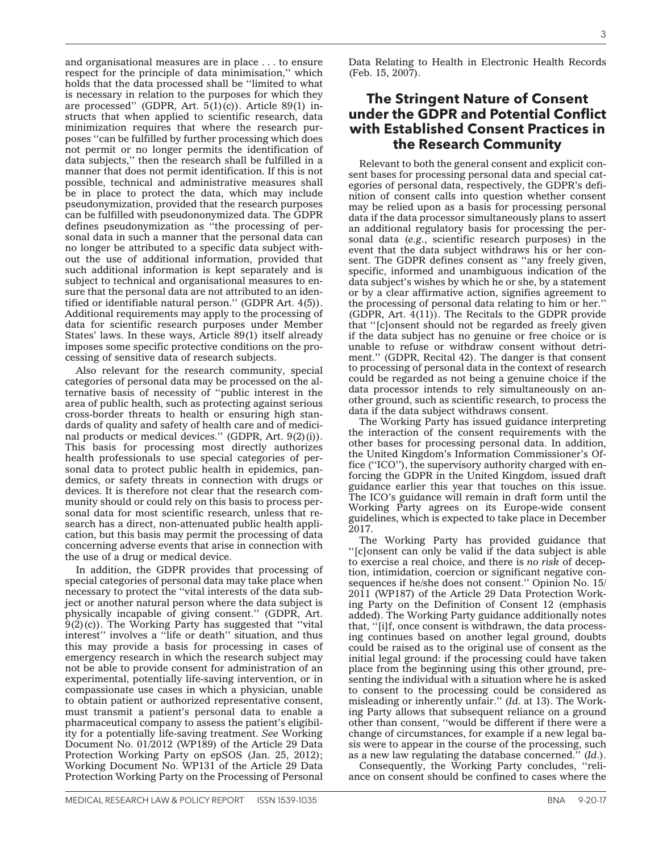compassionate use cases in which a physician, unable to obtain patient or authorized representative consent, must transmit a patient's personal data to enable a pharmaceutical company to assess the patient's eligibil-

experimental, potentially life-saving intervention, or in

ity for a potentially life-saving treatment. *See* Working Document No. 01/2012 (WP189) of the Article 29 Data Protection Working Party on epSOS (Jan. 25, 2012); Working Document No. WP131 of the Article 29 Data Protection Working Party on the Processing of Personal

 $9(2)(c)$ ). The Working Party has suggested that "vital interest'' involves a ''life or death'' situation, and thus this may provide a basis for processing in cases of emergency research in which the research subject may not be able to provide consent for administration of an

Also relevant for the research community, special categories of personal data may be processed on the alternative basis of necessity of ''public interest in the area of public health, such as protecting against serious

cross-border threats to health or ensuring high standards of quality and safety of health care and of medicinal products or medical devices.'' (GDPR, Art. 9(2)(i)). This basis for processing most directly authorizes health professionals to use special categories of personal data to protect public health in epidemics, pandemics, or safety threats in connection with drugs or devices. It is therefore not clear that the research community should or could rely on this basis to process personal data for most scientific research, unless that re-

search has a direct, non-attenuated public health application, but this basis may permit the processing of data concerning adverse events that arise in connection with

In addition, the GDPR provides that processing of special categories of personal data may take place when necessary to protect the ''vital interests of the data subject or another natural person where the data subject is physically incapable of giving consent.'' (GDPR, Art.

the use of a drug or medical device.

cessing of sensitive data of research subjects.

and organisational measures are in place . . . to ensure respect for the principle of data minimisation,'' which holds that the data processed shall be ''limited to what is necessary in relation to the purposes for which they are processed" (GDPR, Art.  $5(1)(c)$ ). Article 89(1) instructs that when applied to scientific research, data minimization requires that where the research purposes ''can be fulfilled by further processing which does not permit or no longer permits the identification of data subjects,'' then the research shall be fulfilled in a manner that does not permit identification. If this is not possible, technical and administrative measures shall be in place to protect the data, which may include pseudonymization, provided that the research purposes can be fulfilled with pseudononymized data. The GDPR defines pseudonymization as ''the processing of personal data in such a manner that the personal data can no longer be attributed to a specific data subject without the use of additional information, provided that such additional information is kept separately and is subject to technical and organisational measures to ensure that the personal data are not attributed to an iden-

tified or identifiable natural person.'' (GDPR Art. 4(5)). Additional requirements may apply to the processing of data for scientific research purposes under Member States' laws. In these ways, Article 89(1) itself already imposes some specific protective conditions on the pro-

Data Relating to Health in Electronic Health Records (Feb. 15, 2007).

#### **The Stringent Nature of Consent under the GDPR and Potential Conflict with Established Consent Practices in the Research Community**

Relevant to both the general consent and explicit consent bases for processing personal data and special categories of personal data, respectively, the GDPR's definition of consent calls into question whether consent may be relied upon as a basis for processing personal data if the data processor simultaneously plans to assert an additional regulatory basis for processing the personal data (*e.g.*, scientific research purposes) in the event that the data subject withdraws his or her consent. The GDPR defines consent as ''any freely given, specific, informed and unambiguous indication of the data subject's wishes by which he or she, by a statement or by a clear affirmative action, signifies agreement to the processing of personal data relating to him or her.'' (GDPR, Art. 4(11)). The Recitals to the GDPR provide that ''[c]onsent should not be regarded as freely given if the data subject has no genuine or free choice or is unable to refuse or withdraw consent without detriment.'' (GDPR, Recital 42). The danger is that consent to processing of personal data in the context of research could be regarded as not being a genuine choice if the data processor intends to rely simultaneously on another ground, such as scientific research, to process the data if the data subject withdraws consent.

The Working Party has issued guidance interpreting the interaction of the consent requirements with the other bases for processing personal data. In addition, the United Kingdom's Information Commissioner's Office (''ICO''), the supervisory authority charged with enforcing the GDPR in the United Kingdom, issued draft guidance earlier this year that touches on this issue. The ICO's guidance will remain in draft form until the Working Party agrees on its Europe-wide consent guidelines, which is expected to take place in December 2017.

The Working Party has provided guidance that ''[c]onsent can only be valid if the data subject is able to exercise a real choice, and there is *no risk* of deception, intimidation, coercion or significant negative consequences if he/she does not consent.'' Opinion No. 15/ 2011 (WP187) of the Article 29 Data Protection Working Party on the Definition of Consent 12 (emphasis added). The Working Party guidance additionally notes that, ''[i]f, once consent is withdrawn, the data processing continues based on another legal ground, doubts could be raised as to the original use of consent as the initial legal ground: if the processing could have taken place from the beginning using this other ground, presenting the individual with a situation where he is asked to consent to the processing could be considered as misleading or inherently unfair.'' (*Id.* at 13). The Working Party allows that subsequent reliance on a ground other than consent, ''would be different if there were a change of circumstances, for example if a new legal basis were to appear in the course of the processing, such as a new law regulating the database concerned.'' (*Id*.).

Consequently, the Working Party concludes, ''reliance on consent should be confined to cases where the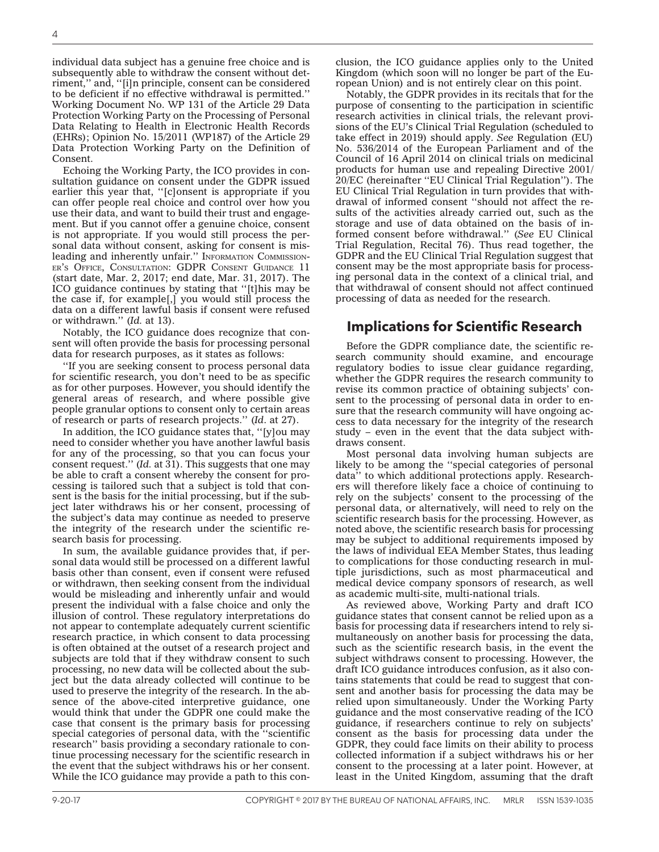individual data subject has a genuine free choice and is subsequently able to withdraw the consent without detriment,'' and, ''[i]n principle, consent can be considered to be deficient if no effective withdrawal is permitted.'' Working Document No. WP 131 of the Article 29 Data Protection Working Party on the Processing of Personal Data Relating to Health in Electronic Health Records (EHRs); Opinion No. 15/2011 (WP187) of the Article 29 Data Protection Working Party on the Definition of Consent.

Echoing the Working Party, the ICO provides in consultation guidance on consent under the GDPR issued earlier this year that, ''[c]onsent is appropriate if you can offer people real choice and control over how you use their data, and want to build their trust and engagement. But if you cannot offer a genuine choice, consent is not appropriate. If you would still process the personal data without consent, asking for consent is misleading and inherently unfair." INFORMATION COMMISSION-ER'S OFFICE, CONSULTATION: GDPR CONSENT GUIDANCE 11 (start date, Mar. 2, 2017; end date, Mar. 31, 2017). The ICO guidance continues by stating that ''[t]his may be the case if, for example[,] you would still process the data on a different lawful basis if consent were refused or withdrawn.'' (*Id.* at 13).

Notably, the ICO guidance does recognize that consent will often provide the basis for processing personal data for research purposes, as it states as follows:

''If you are seeking consent to process personal data for scientific research, you don't need to be as specific as for other purposes. However, you should identify the general areas of research, and where possible give people granular options to consent only to certain areas of research or parts of research projects.'' (*Id*. at 27).

In addition, the ICO guidance states that, ''[y]ou may need to consider whether you have another lawful basis for any of the processing, so that you can focus your consent request.'' (*Id.* at 31). This suggests that one may be able to craft a consent whereby the consent for processing is tailored such that a subject is told that consent is the basis for the initial processing, but if the subject later withdraws his or her consent, processing of the subject's data may continue as needed to preserve the integrity of the research under the scientific research basis for processing.

In sum, the available guidance provides that, if personal data would still be processed on a different lawful basis other than consent, even if consent were refused or withdrawn, then seeking consent from the individual would be misleading and inherently unfair and would present the individual with a false choice and only the illusion of control. These regulatory interpretations do not appear to contemplate adequately current scientific research practice, in which consent to data processing is often obtained at the outset of a research project and subjects are told that if they withdraw consent to such processing, no new data will be collected about the subject but the data already collected will continue to be used to preserve the integrity of the research. In the absence of the above-cited interpretive guidance, one would think that under the GDPR one could make the case that consent is the primary basis for processing special categories of personal data, with the ''scientific research'' basis providing a secondary rationale to continue processing necessary for the scientific research in the event that the subject withdraws his or her consent. While the ICO guidance may provide a path to this conclusion, the ICO guidance applies only to the United Kingdom (which soon will no longer be part of the European Union) and is not entirely clear on this point.

Notably, the GDPR provides in its recitals that for the purpose of consenting to the participation in scientific research activities in clinical trials, the relevant provisions of the EU's Clinical Trial Regulation (scheduled to take effect in 2019) should apply. *See* Regulation (EU) No. 536/2014 of the European Parliament and of the Council of 16 April 2014 on clinical trials on medicinal products for human use and repealing Directive 2001/ 20/EC (hereinafter ''EU Clinical Trial Regulation''). The EU Clinical Trial Regulation in turn provides that withdrawal of informed consent ''should not affect the results of the activities already carried out, such as the storage and use of data obtained on the basis of informed consent before withdrawal.'' (*See* EU Clinical Trial Regulation, Recital 76). Thus read together, the GDPR and the EU Clinical Trial Regulation suggest that consent may be the most appropriate basis for processing personal data in the context of a clinical trial, and that withdrawal of consent should not affect continued processing of data as needed for the research.

### **Implications for Scientific Research**

Before the GDPR compliance date, the scientific research community should examine, and encourage regulatory bodies to issue clear guidance regarding, whether the GDPR requires the research community to revise its common practice of obtaining subjects' consent to the processing of personal data in order to ensure that the research community will have ongoing access to data necessary for the integrity of the research study – even in the event that the data subject withdraws consent.

Most personal data involving human subjects are likely to be among the ''special categories of personal data'' to which additional protections apply. Researchers will therefore likely face a choice of continuing to rely on the subjects' consent to the processing of the personal data, or alternatively, will need to rely on the scientific research basis for the processing. However, as noted above, the scientific research basis for processing may be subject to additional requirements imposed by the laws of individual EEA Member States, thus leading to complications for those conducting research in multiple jurisdictions, such as most pharmaceutical and medical device company sponsors of research, as well as academic multi-site, multi-national trials.

As reviewed above, Working Party and draft ICO guidance states that consent cannot be relied upon as a basis for processing data if researchers intend to rely simultaneously on another basis for processing the data, such as the scientific research basis, in the event the subject withdraws consent to processing. However, the draft ICO guidance introduces confusion, as it also contains statements that could be read to suggest that consent and another basis for processing the data may be relied upon simultaneously. Under the Working Party guidance and the most conservative reading of the ICO guidance, if researchers continue to rely on subjects' consent as the basis for processing data under the GDPR, they could face limits on their ability to process collected information if a subject withdraws his or her consent to the processing at a later point. However, at least in the United Kingdom, assuming that the draft